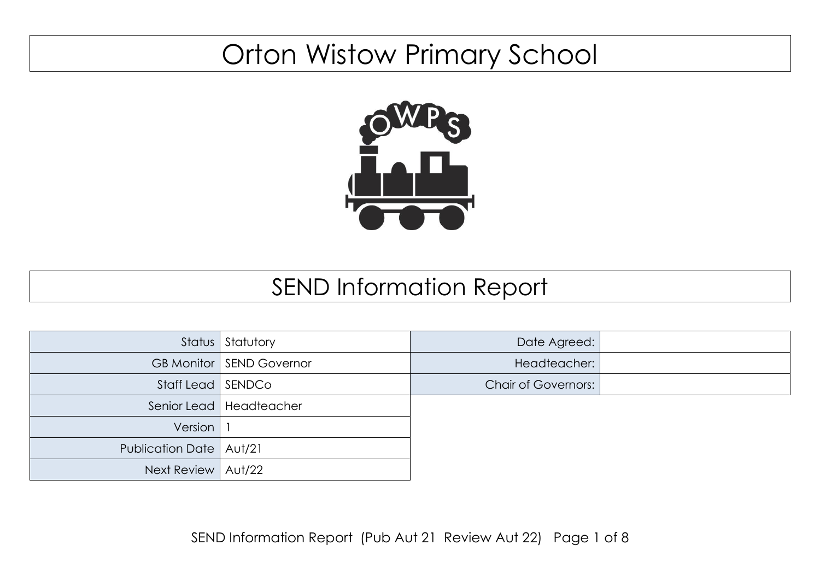## Orton Wistow Primary School



## SEND Information Report

|                           | Status Statutory                  | Date Agreed:               |  |
|---------------------------|-----------------------------------|----------------------------|--|
|                           | <b>GB Monitor   SEND Governor</b> | Headteacher:               |  |
| Staff Lead   SENDCo       |                                   | <b>Chair of Governors:</b> |  |
|                           | Senior Lead   Headteacher         |                            |  |
| Version                   |                                   |                            |  |
| Publication Date   Aut/21 |                                   |                            |  |
| Next Review   Aut/22      |                                   |                            |  |

SEND Information Report (Pub Aut 21 Review Aut 22) Page 1 of 8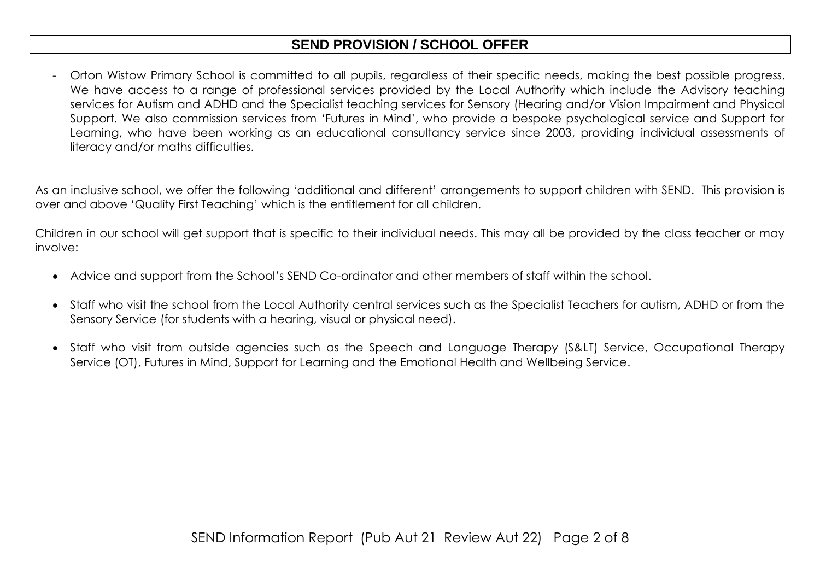## **SEND PROVISION / SCHOOL OFFER**

- Orton Wistow Primary School is committed to all pupils, regardless of their specific needs, making the best possible progress. We have access to a range of professional services provided by the Local Authority which include the Advisory teaching services for Autism and ADHD and the Specialist teaching services for Sensory (Hearing and/or Vision Impairment and Physical Support. We also commission services from 'Futures in Mind', who provide a bespoke psychological service and Support for Learning, who have been working as an educational consultancy service since 2003, providing individual assessments of literacy and/or maths difficulties.

As an inclusive school, we offer the following 'additional and different' arrangements to support children with SEND. This provision is over and above 'Quality First Teaching' which is the entitlement for all children.

Children in our school will get support that is specific to their individual needs. This may all be provided by the class teacher or may involve:

- Advice and support from the School's SEND Co-ordinator and other members of staff within the school.
- Staff who visit the school from the Local Authority central services such as the Specialist Teachers for autism, ADHD or from the Sensory Service (for students with a hearing, visual or physical need).
- Staff who visit from outside agencies such as the Speech and Language Therapy (S&LT) Service, Occupational Therapy Service (OT), Futures in Mind, Support for Learning and the Emotional Health and Wellbeing Service.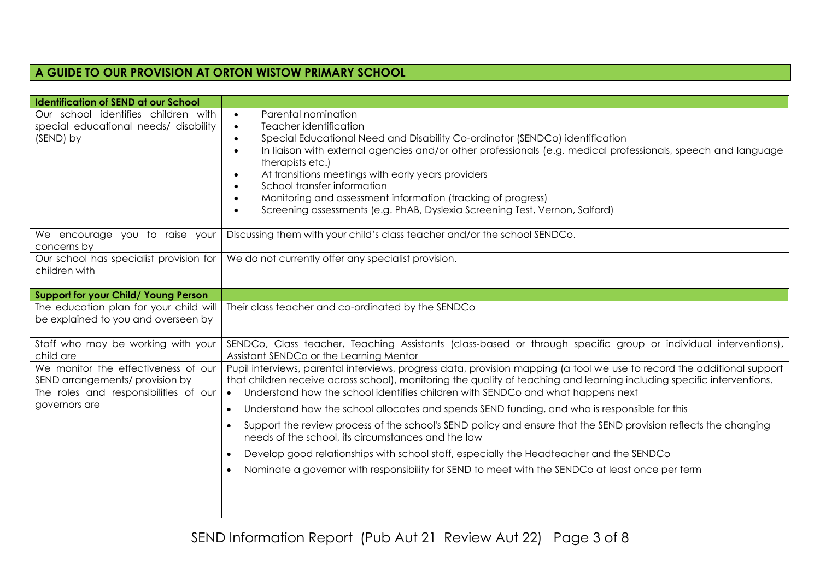## **A GUIDE TO OUR PROVISION AT ORTON WISTOW PRIMARY SCHOOL**

| <b>Identification of SEND at our School</b>                                                                                      |                                                                                                                                                                                                                                                                                                                                                                                                                                                                                                                                                                                                                |
|----------------------------------------------------------------------------------------------------------------------------------|----------------------------------------------------------------------------------------------------------------------------------------------------------------------------------------------------------------------------------------------------------------------------------------------------------------------------------------------------------------------------------------------------------------------------------------------------------------------------------------------------------------------------------------------------------------------------------------------------------------|
| Our school identifies children with<br>special educational needs/ disability<br>(SEND) by                                        | Parental nomination<br>$\bullet$<br>Teacher identification<br>$\bullet$<br>Special Educational Need and Disability Co-ordinator (SENDCo) identification<br>$\bullet$<br>In liaison with external agencies and/or other professionals (e.g. medical professionals, speech and language<br>$\bullet$<br>therapists etc.)<br>At transitions meetings with early years providers<br>$\bullet$<br>School transfer information<br>$\bullet$<br>Monitoring and assessment information (tracking of progress)<br>$\bullet$<br>Screening assessments (e.g. PhAB, Dyslexia Screening Test, Vernon, Salford)<br>$\bullet$ |
| We encourage you to raise your<br>concerns by                                                                                    | Discussing them with your child's class teacher and/or the school SENDCo.                                                                                                                                                                                                                                                                                                                                                                                                                                                                                                                                      |
| Our school has specialist provision for<br>children with                                                                         | We do not currently offer any specialist provision.                                                                                                                                                                                                                                                                                                                                                                                                                                                                                                                                                            |
| Support for your Child/ Young Person                                                                                             |                                                                                                                                                                                                                                                                                                                                                                                                                                                                                                                                                                                                                |
| The education plan for your child will<br>be explained to you and overseen by                                                    | Their class teacher and co-ordinated by the SENDCo                                                                                                                                                                                                                                                                                                                                                                                                                                                                                                                                                             |
| Staff who may be working with your<br>child are                                                                                  | SENDCo, Class teacher, Teaching Assistants (class-based or through specific group or individual interventions),<br>Assistant SENDCo or the Learning Mentor                                                                                                                                                                                                                                                                                                                                                                                                                                                     |
| We monitor the effectiveness of our<br>SEND arrangements/ provision by<br>The roles and responsibilities of our<br>governors are | Pupil interviews, parental interviews, progress data, provision mapping (a tool we use to record the additional support<br>that children receive across school), monitoring the quality of teaching and learning including specific interventions.<br>Understand how the school identifies children with SENDCo and what happens next<br>$\bullet$                                                                                                                                                                                                                                                             |
|                                                                                                                                  | Understand how the school allocates and spends SEND funding, and who is responsible for this<br>$\bullet$                                                                                                                                                                                                                                                                                                                                                                                                                                                                                                      |
|                                                                                                                                  | Support the review process of the school's SEND policy and ensure that the SEND provision reflects the changing<br>$\bullet$<br>needs of the school, its circumstances and the law                                                                                                                                                                                                                                                                                                                                                                                                                             |
|                                                                                                                                  | Develop good relationships with school staff, especially the Headteacher and the SENDCo<br>$\bullet$                                                                                                                                                                                                                                                                                                                                                                                                                                                                                                           |
|                                                                                                                                  | Nominate a governor with responsibility for SEND to meet with the SENDCo at least once per term<br>$\bullet$                                                                                                                                                                                                                                                                                                                                                                                                                                                                                                   |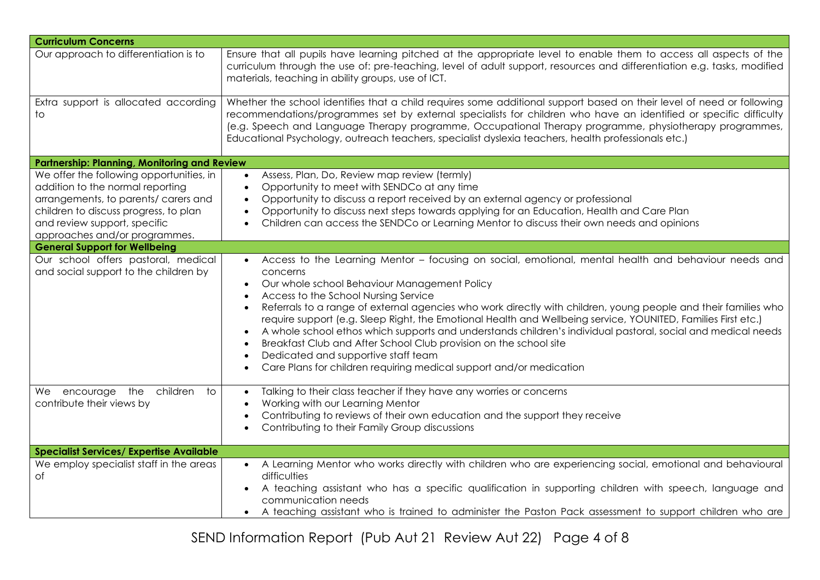| <b>Curriculum Concerns</b>                                                                                                                                                                                                     |                                                                                                                                                                                                                                                                                                                                                                                                                                                                                                                                                                                                                                                                                                                                                                                                                 |  |
|--------------------------------------------------------------------------------------------------------------------------------------------------------------------------------------------------------------------------------|-----------------------------------------------------------------------------------------------------------------------------------------------------------------------------------------------------------------------------------------------------------------------------------------------------------------------------------------------------------------------------------------------------------------------------------------------------------------------------------------------------------------------------------------------------------------------------------------------------------------------------------------------------------------------------------------------------------------------------------------------------------------------------------------------------------------|--|
| Our approach to differentiation is to                                                                                                                                                                                          | Ensure that all pupils have learning pitched at the appropriate level to enable them to access all aspects of the<br>curriculum through the use of: pre-teaching, level of adult support, resources and differentiation e.g. tasks, modified<br>materials, teaching in ability groups, use of ICT.                                                                                                                                                                                                                                                                                                                                                                                                                                                                                                              |  |
| Extra support is allocated according<br>to                                                                                                                                                                                     | Whether the school identifies that a child requires some additional support based on their level of need or following<br>recommendations/programmes set by external specialists for children who have an identified or specific difficulty<br>(e.g. Speech and Language Therapy programme, Occupational Therapy programme, physiotherapy programmes,<br>Educational Psychology, outreach teachers, specialist dyslexia teachers, health professionals etc.)                                                                                                                                                                                                                                                                                                                                                     |  |
| <b>Partnership: Planning, Monitoring and Review</b>                                                                                                                                                                            |                                                                                                                                                                                                                                                                                                                                                                                                                                                                                                                                                                                                                                                                                                                                                                                                                 |  |
| We offer the following opportunities, in<br>addition to the normal reporting<br>arrangements, to parents/ carers and<br>children to discuss progress, to plan<br>and review support, specific<br>approaches and/or programmes. | Assess, Plan, Do, Review map review (termly)<br>$\bullet$<br>Opportunity to meet with SENDCo at any time<br>$\bullet$<br>Opportunity to discuss a report received by an external agency or professional<br>$\bullet$<br>Opportunity to discuss next steps towards applying for an Education, Health and Care Plan<br>$\bullet$<br>Children can access the SENDCo or Learning Mentor to discuss their own needs and opinions                                                                                                                                                                                                                                                                                                                                                                                     |  |
| <b>General Support for Wellbeing</b>                                                                                                                                                                                           |                                                                                                                                                                                                                                                                                                                                                                                                                                                                                                                                                                                                                                                                                                                                                                                                                 |  |
| Our school offers pastoral, medical<br>and social support to the children by                                                                                                                                                   | Access to the Learning Mentor - focusing on social, emotional, mental health and behaviour needs and<br>$\bullet$<br>concerns<br>Our whole school Behaviour Management Policy<br>$\bullet$<br>Access to the School Nursing Service<br>$\bullet$<br>Referrals to a range of external agencies who work directly with children, young people and their families who<br>require support (e.g. Sleep Right, the Emotional Health and Wellbeing service, YOUNITED, Families First etc.)<br>A whole school ethos which supports and understands children's individual pastoral, social and medical needs<br>Breakfast Club and After School Club provision on the school site<br>Dedicated and supportive staff team<br>$\bullet$<br>Care Plans for children requiring medical support and/or medication<br>$\bullet$ |  |
| We encourage the children to<br>contribute their views by                                                                                                                                                                      | Talking to their class teacher if they have any worries or concerns<br>$\bullet$<br>Working with our Learning Mentor<br>Contributing to reviews of their own education and the support they receive<br>$\bullet$<br>Contributing to their Family Group discussions                                                                                                                                                                                                                                                                                                                                                                                                                                                                                                                                              |  |
| <b>Specialist Services/ Expertise Available</b>                                                                                                                                                                                |                                                                                                                                                                                                                                                                                                                                                                                                                                                                                                                                                                                                                                                                                                                                                                                                                 |  |
| We employ specialist staff in the areas<br>Οf                                                                                                                                                                                  | A Learning Mentor who works directly with children who are experiencing social, emotional and behavioural<br>difficulties<br>A teaching assistant who has a specific qualification in supporting children with speech, language and<br>communication needs<br>• A teaching assistant who is trained to administer the Paston Pack assessment to support children who are                                                                                                                                                                                                                                                                                                                                                                                                                                        |  |

SEND Information Report (Pub Aut 21 Review Aut 22) Page 4 of 8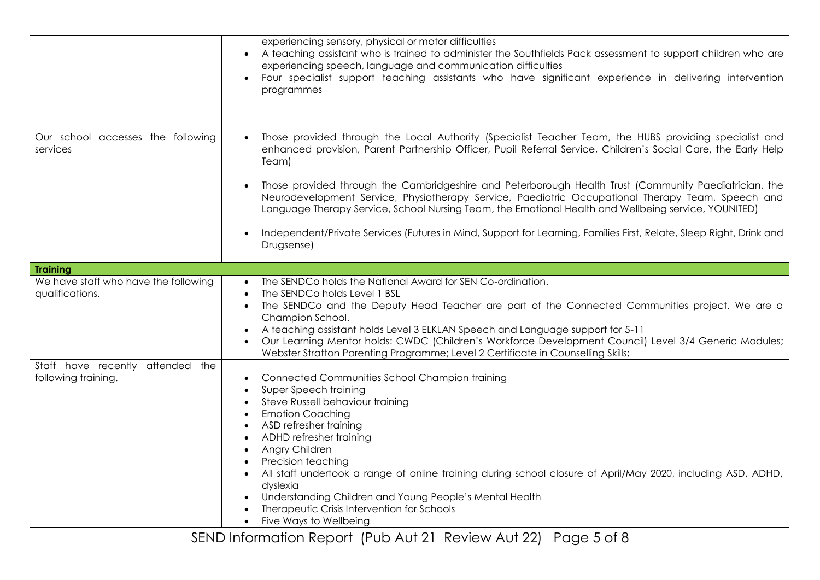|                                                         | experiencing sensory, physical or motor difficulties<br>A teaching assistant who is trained to administer the Southfields Pack assessment to support children who are<br>$\bullet$<br>experiencing speech, language and communication difficulties<br>Four specialist support teaching assistants who have significant experience in delivering intervention<br>programmes                                                                                                                                                                                                                                                                                                                                |
|---------------------------------------------------------|-----------------------------------------------------------------------------------------------------------------------------------------------------------------------------------------------------------------------------------------------------------------------------------------------------------------------------------------------------------------------------------------------------------------------------------------------------------------------------------------------------------------------------------------------------------------------------------------------------------------------------------------------------------------------------------------------------------|
| Our school accesses the following<br>services           | Those provided through the Local Authority (Specialist Teacher Team, the HUBS providing specialist and<br>enhanced provision, Parent Partnership Officer, Pupil Referral Service, Children's Social Care, the Early Help<br>Team)<br>Those provided through the Cambridgeshire and Peterborough Health Trust (Community Paediatrician, the<br>Neurodevelopment Service, Physiotherapy Service, Paediatric Occupational Therapy Team, Speech and<br>Language Therapy Service, School Nursing Team, the Emotional Health and Wellbeing service, YOUNITED)<br>Independent/Private Services (Futures in Mind, Support for Learning, Families First, Relate, Sleep Right, Drink and<br>$\bullet$<br>Drugsense) |
|                                                         |                                                                                                                                                                                                                                                                                                                                                                                                                                                                                                                                                                                                                                                                                                           |
| <b>Training</b>                                         |                                                                                                                                                                                                                                                                                                                                                                                                                                                                                                                                                                                                                                                                                                           |
| We have staff who have the following<br>qualifications. | The SENDCo holds the National Award for SEN Co-ordination.<br>The SENDCo holds Level 1 BSL<br>$\bullet$<br>The SENDCo and the Deputy Head Teacher are part of the Connected Communities project. We are a<br>$\bullet$<br>Champion School.<br>A teaching assistant holds Level 3 ELKLAN Speech and Language support for 5-11<br>Our Learning Mentor holds: CWDC (Children's Workforce Development Council) Level 3/4 Generic Modules;<br>Webster Stratton Parenting Programme; Level 2 Certificate in Counselling Skills;                                                                                                                                                                                 |
| Staff have recently attended the<br>following training. | Connected Communities School Champion training<br>$\bullet$<br>Super Speech training<br>$\bullet$<br>Steve Russell behaviour training<br>$\bullet$<br><b>Emotion Coaching</b><br>$\bullet$<br>ASD refresher training<br>$\bullet$<br>ADHD refresher training<br>Angry Children<br>$\bullet$<br>Precision teaching<br>$\bullet$<br>All staff undertook a range of online training during school closure of April/May 2020, including ASD, ADHD,<br>$\bullet$<br>dyslexia<br>Understanding Children and Young People's Mental Health<br>Therapeutic Crisis Intervention for Schools<br>Five Ways to Wellbeing<br>$\bullet$                                                                                  |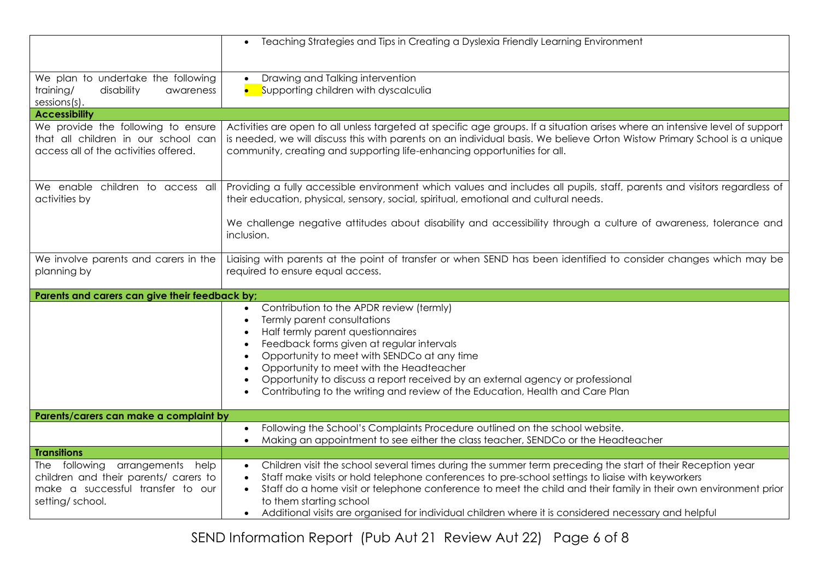|                                                                                                                                     | Teaching Strategies and Tips in Creating a Dyslexia Friendly Learning Environment<br>$\bullet$                                                                                                                                                                                                                                                                                                                                                                                                                     |
|-------------------------------------------------------------------------------------------------------------------------------------|--------------------------------------------------------------------------------------------------------------------------------------------------------------------------------------------------------------------------------------------------------------------------------------------------------------------------------------------------------------------------------------------------------------------------------------------------------------------------------------------------------------------|
| We plan to undertake the following<br>training/<br>disability<br>awareness<br>sessions(s).                                          | Drawing and Talking intervention<br>$\bullet$<br>Supporting children with dyscalculia                                                                                                                                                                                                                                                                                                                                                                                                                              |
| <b>Accessibility</b>                                                                                                                |                                                                                                                                                                                                                                                                                                                                                                                                                                                                                                                    |
| We provide the following to ensure<br>that all children in our school can<br>access all of the activities offered.                  | Activities are open to all unless targeted at specific age groups. If a situation arises where an intensive level of support<br>is needed, we will discuss this with parents on an individual basis. We believe Orton Wistow Primary School is a unique<br>community, creating and supporting life-enhancing opportunities for all.                                                                                                                                                                                |
| We enable children to access all<br>activities by                                                                                   | Providing a fully accessible environment which values and includes all pupils, staff, parents and visitors regardless of<br>their education, physical, sensory, social, spiritual, emotional and cultural needs.                                                                                                                                                                                                                                                                                                   |
|                                                                                                                                     | We challenge negative attitudes about disability and accessibility through a culture of awareness, tolerance and<br>inclusion.                                                                                                                                                                                                                                                                                                                                                                                     |
| We involve parents and carers in the<br>planning by                                                                                 | Liaising with parents at the point of transfer or when SEND has been identified to consider changes which may be<br>required to ensure equal access.                                                                                                                                                                                                                                                                                                                                                               |
| Parents and carers can give their feedback by;                                                                                      |                                                                                                                                                                                                                                                                                                                                                                                                                                                                                                                    |
|                                                                                                                                     | Contribution to the APDR review (termly)<br>$\bullet$<br>Termly parent consultations<br>$\bullet$<br>Half termly parent questionnaires<br>$\bullet$<br>Feedback forms given at regular intervals<br>$\bullet$<br>Opportunity to meet with SENDCo at any time<br>$\bullet$<br>Opportunity to meet with the Headteacher<br>$\bullet$<br>Opportunity to discuss a report received by an external agency or professional<br>$\bullet$<br>Contributing to the writing and review of the Education, Health and Care Plan |
| Parents/carers can make a complaint by                                                                                              |                                                                                                                                                                                                                                                                                                                                                                                                                                                                                                                    |
|                                                                                                                                     | Following the School's Complaints Procedure outlined on the school website.<br>$\bullet$<br>Making an appointment to see either the class teacher, SENDCo or the Headteacher<br>$\bullet$                                                                                                                                                                                                                                                                                                                          |
| <b>Transitions</b>                                                                                                                  |                                                                                                                                                                                                                                                                                                                                                                                                                                                                                                                    |
| The following<br>arrangements help<br>children and their parents/ carers to<br>make a successful transfer to our<br>setting/school. | Children visit the school several times during the summer term preceding the start of their Reception year<br>$\bullet$<br>Staff make visits or hold telephone conferences to pre-school settings to liaise with keyworkers<br>Staff do a home visit or telephone conference to meet the child and their family in their own environment prior<br>to them starting school<br>Additional visits are organised for individual children where it is considered necessary and helpful                                  |

SEND Information Report (Pub Aut 21 Review Aut 22) Page 6 of 8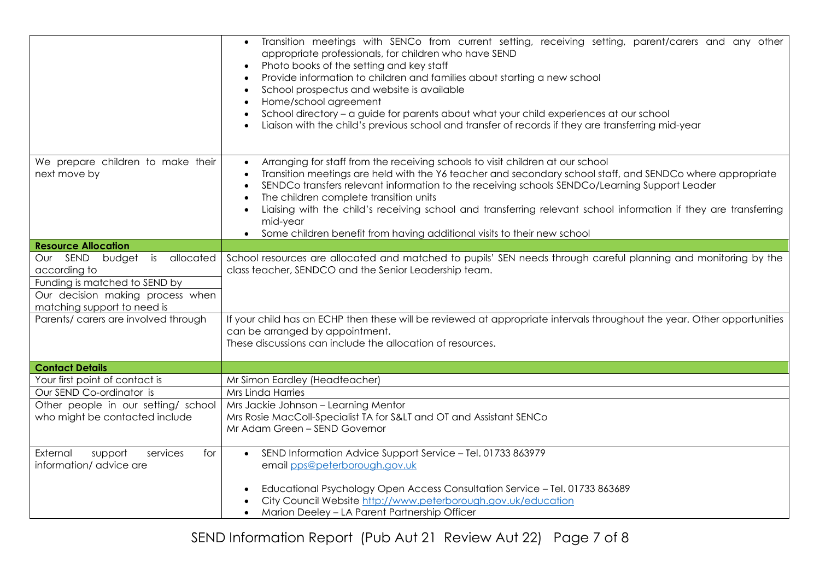|                                                                                                                                                  | Transition meetings with SENCo from current setting, receiving setting, parent/carers and any other<br>appropriate professionals, for children who have SEND<br>Photo books of the setting and key staff<br>Provide information to children and families about starting a new school<br>School prospectus and website is available<br>$\bullet$<br>Home/school agreement<br>$\bullet$<br>School directory - a guide for parents about what your child experiences at our school<br>Liaison with the child's previous school and transfer of records if they are transferring mid-year |
|--------------------------------------------------------------------------------------------------------------------------------------------------|---------------------------------------------------------------------------------------------------------------------------------------------------------------------------------------------------------------------------------------------------------------------------------------------------------------------------------------------------------------------------------------------------------------------------------------------------------------------------------------------------------------------------------------------------------------------------------------|
| We prepare children to make their<br>next move by                                                                                                | Arranging for staff from the receiving schools to visit children at our school<br>$\bullet$<br>Transition meetings are held with the Y6 teacher and secondary school staff, and SENDCo where appropriate<br>SENDCo transfers relevant information to the receiving schools SENDCo/Learning Support Leader<br>The children complete transition units<br>Liaising with the child's receiving school and transferring relevant school information if they are transferring<br>mid-year<br>Some children benefit from having additional visits to their new school                        |
| <b>Resource Allocation</b>                                                                                                                       |                                                                                                                                                                                                                                                                                                                                                                                                                                                                                                                                                                                       |
| Our SEND budget is allocated<br>according to<br>Funding is matched to SEND by<br>Our decision making process when<br>matching support to need is | School resources are allocated and matched to pupils' SEN needs through careful planning and monitoring by the<br>class teacher, SENDCO and the Senior Leadership team.                                                                                                                                                                                                                                                                                                                                                                                                               |
| Parents/ carers are involved through                                                                                                             | If your child has an ECHP then these will be reviewed at appropriate intervals throughout the year. Other opportunities<br>can be arranged by appointment.<br>These discussions can include the allocation of resources.                                                                                                                                                                                                                                                                                                                                                              |
| <b>Contact Details</b>                                                                                                                           |                                                                                                                                                                                                                                                                                                                                                                                                                                                                                                                                                                                       |
| Your first point of contact is                                                                                                                   | Mr Simon Eardley (Headteacher)                                                                                                                                                                                                                                                                                                                                                                                                                                                                                                                                                        |
| Our SEND Co-ordinator is                                                                                                                         | Mrs Linda Harries                                                                                                                                                                                                                                                                                                                                                                                                                                                                                                                                                                     |
| Other people in our setting/ school<br>who might be contacted include                                                                            | Mrs Jackie Johnson - Learning Mentor<br>Mrs Rosie MacColl-Specialist TA for S< and OT and Assistant SENCo<br>Mr Adam Green - SEND Governor                                                                                                                                                                                                                                                                                                                                                                                                                                            |
| External<br>support<br>services<br>for<br>information/advice are                                                                                 | SEND Information Advice Support Service - Tel. 01733 863979<br>$\bullet$<br>email pps@peterborough.gov.uk<br>Educational Psychology Open Access Consultation Service - Tel. 01733 863689<br>City Council Website http://www.peterborough.gov.uk/education                                                                                                                                                                                                                                                                                                                             |
|                                                                                                                                                  | Marion Deeley - LA Parent Partnership Officer                                                                                                                                                                                                                                                                                                                                                                                                                                                                                                                                         |

SEND Information Report (Pub Aut 21 Review Aut 22) Page 7 of 8